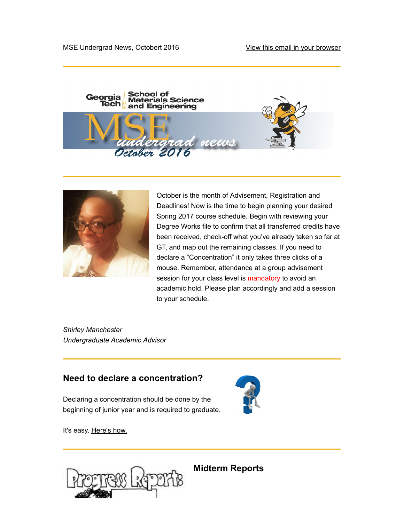



October is the month of Advisement, Registration and Deadlines! Now is the time to begin planning your desired Spring 2017 course schedule. Begin with reviewing your Degree Works file to confirm that all transferred credits have been received, check-off what you've already taken so far at GT, and map out the remaining classes. If you need to declare a "Concentration" it only takes three clicks of a mouse. Remember, attendance at a group advisement session for your class level is mandatory to avoid an academic hold. Please plan accordingly and add a session to your schedule.

Shirley Manchester Undergraduate Academic Advisor

### Need to declare a concentration?

Declaring a concentration should be done by the beginning of junior year and is required to graduate.



It's easy. Here's how.



Midterm Reports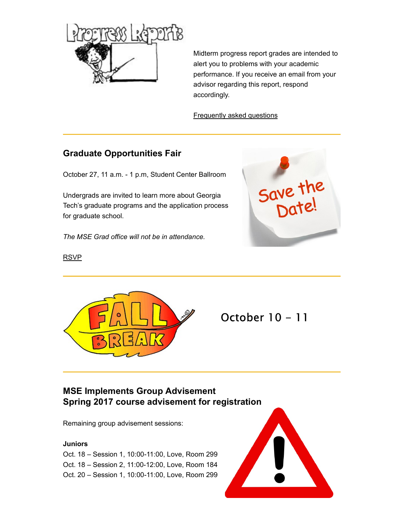

Midterm progress report grades are intended to alert you to problems with your academic performance. If you receive an email from your advisor regarding this report, respond accordingly.

Frequently asked questions

### Graduate Opportunities Fair

Undergrads are invited to learn more about Georgia Tech's graduate programs and the application process for graduate school.

The MSE Grad office will not be in attendance.



RSVP



October 10 - 11

# MSE Implements Group Advisement Spring 2017 course advisement for registration

Remaining group advisement sessions:

### **Juniors**

Oct. 18 – Session 1, 10:00-11:00, Love, Room 299 Oct. 18 – Session 2, 11:00-12:00, Love, Room 184 Oct. 20 – Session 1, 10:00-11:00, Love, Room 299

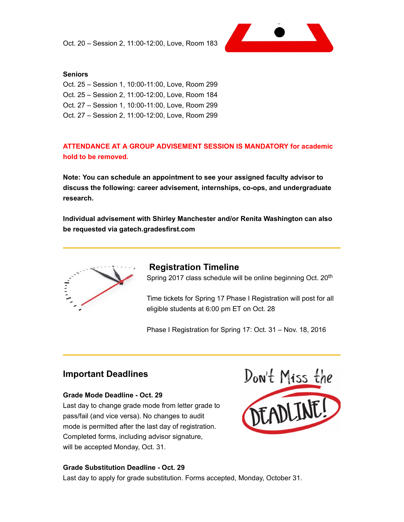

#### **Seniors**

Oct. 25 – Session 1, 10:00-11:00, Love, Room 299 Oct. 25 – Session 2, 11:00-12:00, Love, Room 184 Oct. 27 – Session 1, 10:00-11:00, Love, Room 299 Oct. 27 – Session 2, 11:00-12:00, Love, Room 299

### ATTENDANCE AT A GROUP ADVISEMENT SESSION IS MANDATORY for academic hold to be removed.

Note: You can schedule an appointment to see your assigned faculty advisor to discuss the following: career advisement, internships, co-ops, and undergraduate research.

Individual advisement with Shirley Manchester and/or Renita Washington can also be requested via gatech.gradesfirst.com



### Registration Timeline

Spring 2017 class schedule will be online beginning Oct. 20<sup>th</sup>

Time tickets for Spring 17 Phase I Registration will post for all eligible students at 6:00 pm ET on Oct. 28

Phase I Registration for Spring 17: Oct. 31 – Nov. 18, 2016

#### Grade Mode Deadline - Oct. 29

Last day to change grade mode from letter grade to pass/fail (and vice versa). No changes to audit mode is permitted after the last day of registration. Completed forms, including advisor signature, will be accepted Monday, Oct. 31.



#### Grade Substitution Deadline - Oct. 29

Last day to apply for grade substitution. Forms accepted, Monday, October 31.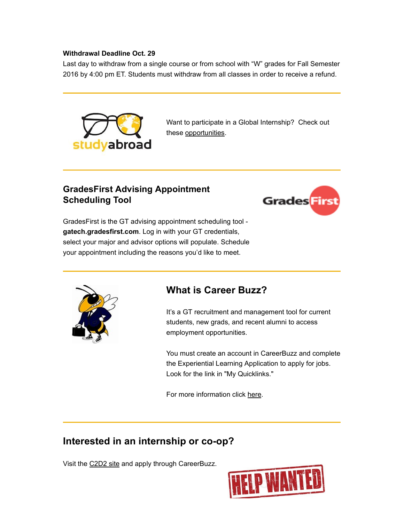#### Withdrawal Deadline Oct. 29

Last day to withdraw from a single course or from school with "W" grades for Fall Semester 2016 by 4:00 pm ET. Students must withdraw from all classes in order to receive a refund.



Want to participate in a Global Internship? Check out these opportunities.

### GradesFirst Advising Appointment Scheduling Tool



GradesFirst is the GT advising appointment scheduling tool gatech.gradesfirst.com. Log in with your GT credentials, select your major and advisor options will populate. Schedule your appointment including the reasons you'd like to meet.



## What is Career Buzz?

It's a GT recruitment and management tool for current students, new grads, and recent alumni to access employment opportunities.

You must create an account in CareerBuzz and complete the Experiential Learning Application to apply for jobs. Look for the link in "My Quicklinks."

For more information click here.

## Interested in an internship or co-op?

Visit the C2D2 site and apply through CareerBuzz.

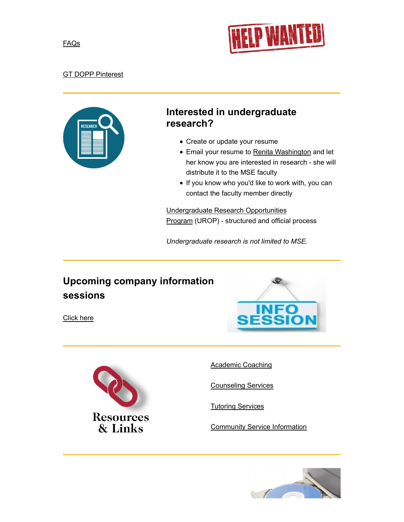



### GT DOPP Pinterest



# Interested in undergraduate research?

- Create or update your resume
- Email your resume to Renita Washington and let her know you are interested in research - she will distribute it to the MSE faculty
- If you know who you'd like to work with, you can contact the faculty member directly

Undergraduate Research Opportunities Program (UROP) - structured and official process

Undergraduate research is not limited to MSE.

# Upcoming company information sessions

Click here





Academic Coaching

Counseling Services

Tutoring Services

Community Service Information